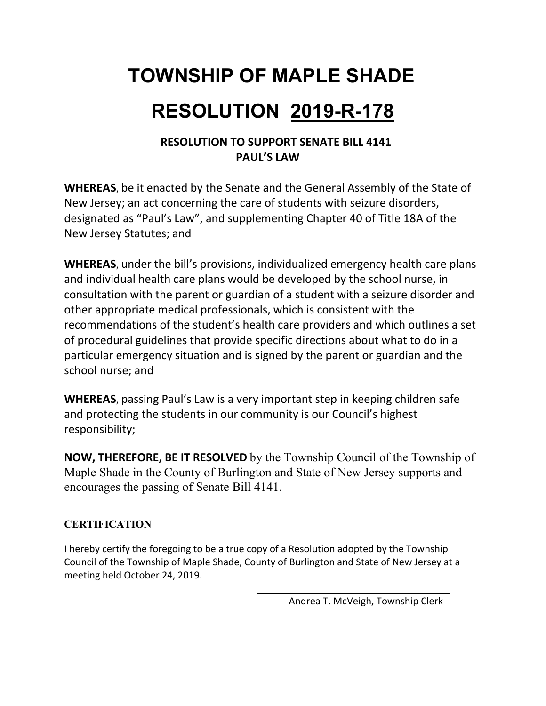# **TOWNSHIP OF MAPLE SHADE RESOLUTION 2019-R-178**

### **RESOLUTION TO SUPPORT SENATE BILL 4141 PAUL'S LAW**

**WHEREAS**, be it enacted by the Senate and the General Assembly of the State of New Jersey; an act concerning the care of students with seizure disorders, designated as "Paul's Law", and supplementing Chapter 40 of Title 18A of the New Jersey Statutes; and

**WHEREAS**, under the bill's provisions, individualized emergency health care plans and individual health care plans would be developed by the school nurse, in consultation with the parent or guardian of a student with a seizure disorder and other appropriate medical professionals, which is consistent with the recommendations of the student's health care providers and which outlines a set of procedural guidelines that provide specific directions about what to do in a particular emergency situation and is signed by the parent or guardian and the school nurse; and

**WHEREAS**, passing Paul's Law is a very important step in keeping children safe and protecting the students in our community is our Council's highest responsibility;

**NOW, THEREFORE, BE IT RESOLVED** by the Township Council of the Township of Maple Shade in the County of Burlington and State of New Jersey supports and encourages the passing of Senate Bill 4141.

### **CERTIFICATION**

I hereby certify the foregoing to be a true copy of a Resolution adopted by the Township Council of the Township of Maple Shade, County of Burlington and State of New Jersey at a meeting held October 24, 2019.

Andrea T. McVeigh, Township Clerk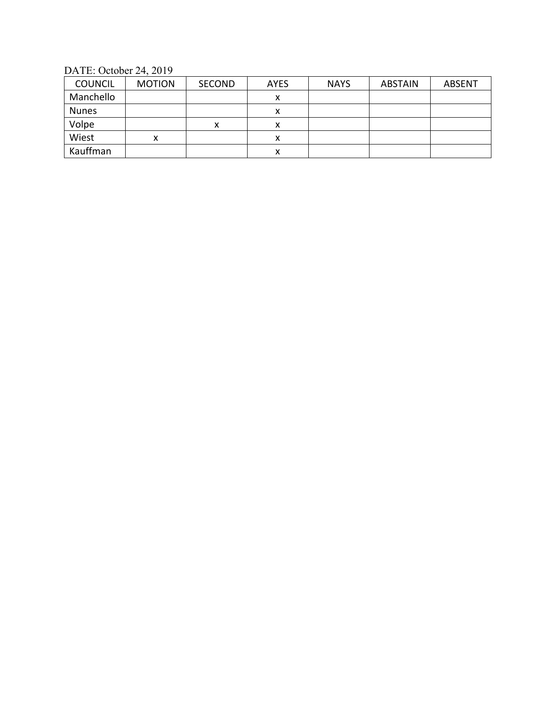DATE: October 24, 2019

| <b>COUNCIL</b> | <b>MOTION</b> | <b>SECOND</b> | <b>AYES</b> | <b>NAYS</b> | <b>ABSTAIN</b> | <b>ABSENT</b> |
|----------------|---------------|---------------|-------------|-------------|----------------|---------------|
| Manchello      |               |               | ᄉ           |             |                |               |
| <b>Nunes</b>   |               |               | ́           |             |                |               |
| Volpe          |               | х             |             |             |                |               |
| Wiest          |               |               |             |             |                |               |
| Kauffman       |               |               | х           |             |                |               |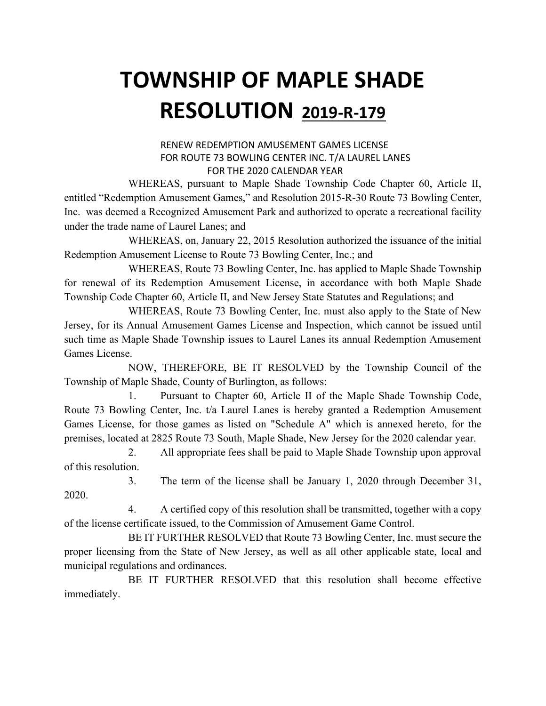# **TOWNSHIP OF MAPLE SHADE RESOLUTION 2019-R-179**

#### RENEW REDEMPTION AMUSEMENT GAMES LICENSE FOR ROUTE 73 BOWLING CENTER INC. T/A LAUREL LANES FOR THE 2020 CALENDAR YEAR

 WHEREAS, pursuant to Maple Shade Township Code Chapter 60, Article II, entitled "Redemption Amusement Games," and Resolution 2015-R-30 Route 73 Bowling Center, Inc. was deemed a Recognized Amusement Park and authorized to operate a recreational facility under the trade name of Laurel Lanes; and

 WHEREAS, on, January 22, 2015 Resolution authorized the issuance of the initial Redemption Amusement License to Route 73 Bowling Center, Inc.; and

 WHEREAS, Route 73 Bowling Center, Inc. has applied to Maple Shade Township for renewal of its Redemption Amusement License, in accordance with both Maple Shade Township Code Chapter 60, Article II, and New Jersey State Statutes and Regulations; and

 WHEREAS, Route 73 Bowling Center, Inc. must also apply to the State of New Jersey, for its Annual Amusement Games License and Inspection, which cannot be issued until such time as Maple Shade Township issues to Laurel Lanes its annual Redemption Amusement Games License.

 NOW, THEREFORE, BE IT RESOLVED by the Township Council of the Township of Maple Shade, County of Burlington, as follows:

 1. Pursuant to Chapter 60, Article II of the Maple Shade Township Code, Route 73 Bowling Center, Inc. t/a Laurel Lanes is hereby granted a Redemption Amusement Games License, for those games as listed on "Schedule A" which is annexed hereto, for the premises, located at 2825 Route 73 South, Maple Shade, New Jersey for the 2020 calendar year.

2. All appropriate fees shall be paid to Maple Shade Township upon approval of this resolution.

 3. The term of the license shall be January 1, 2020 through December 31, 2020.

4. A certified copy of this resolution shall be transmitted, together with a copy of the license certificate issued, to the Commission of Amusement Game Control.

BE IT FURTHER RESOLVED that Route 73 Bowling Center, Inc. must secure the proper licensing from the State of New Jersey, as well as all other applicable state, local and municipal regulations and ordinances.

BE IT FURTHER RESOLVED that this resolution shall become effective immediately.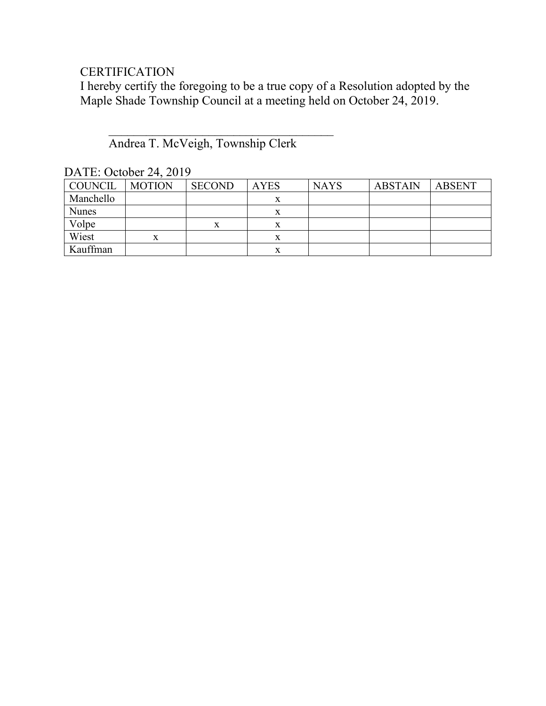### **CERTIFICATION**

I hereby certify the foregoing to be a true copy of a Resolution adopted by the Maple Shade Township Council at a meeting held on October 24, 2019.

### $\overline{\phantom{a}}$ Andrea T. McVeigh, Township Clerk

| DATE: October 24, 2019 |  |
|------------------------|--|
|                        |  |

| COUNCIL      | <b>MOTION</b> | <b>SECOND</b> | <b>AYES</b> | <b>NAYS</b> | <b>ABSTAIN</b> | <b>ABSENT</b> |
|--------------|---------------|---------------|-------------|-------------|----------------|---------------|
| Manchello    |               |               | л           |             |                |               |
| <b>Nunes</b> |               |               | x           |             |                |               |
| Volpe        |               |               | x           |             |                |               |
| Wiest        | x             |               | x           |             |                |               |
| Kauffman     |               |               |             |             |                |               |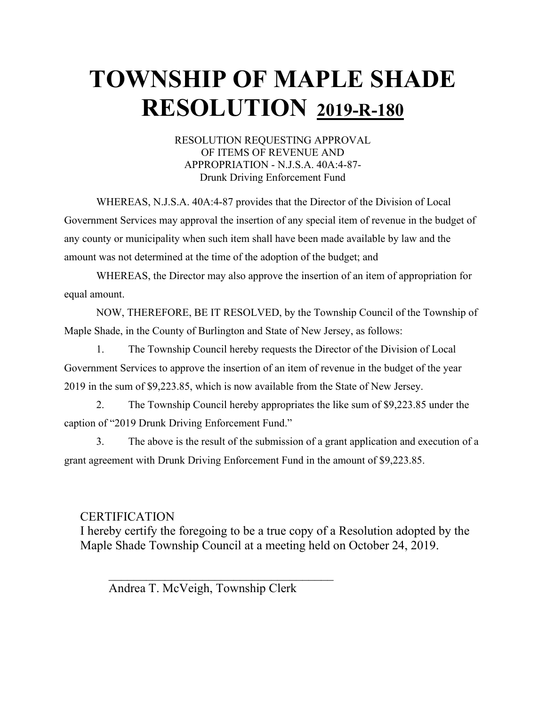# **TOWNSHIP OF MAPLE SHADE RESOLUTION 2019-R-180**

#### RESOLUTION REQUESTING APPROVAL OF ITEMS OF REVENUE AND APPROPRIATION - N.J.S.A. 40A:4-87- Drunk Driving Enforcement Fund

WHEREAS, N.J.S.A. 40A:4-87 provides that the Director of the Division of Local Government Services may approval the insertion of any special item of revenue in the budget of any county or municipality when such item shall have been made available by law and the amount was not determined at the time of the adoption of the budget; and

WHEREAS, the Director may also approve the insertion of an item of appropriation for equal amount.

NOW, THEREFORE, BE IT RESOLVED, by the Township Council of the Township of Maple Shade, in the County of Burlington and State of New Jersey, as follows:

1. The Township Council hereby requests the Director of the Division of Local Government Services to approve the insertion of an item of revenue in the budget of the year 2019 in the sum of \$9,223.85, which is now available from the State of New Jersey.

2. The Township Council hereby appropriates the like sum of \$9,223.85 under the caption of "2019 Drunk Driving Enforcement Fund."

3. The above is the result of the submission of a grant application and execution of a grant agreement with Drunk Driving Enforcement Fund in the amount of \$9,223.85.

### **CERTIFICATION**

I hereby certify the foregoing to be a true copy of a Resolution adopted by the Maple Shade Township Council at a meeting held on October 24, 2019.

Andrea T. McVeigh, Township Clerk

 $\overline{\phantom{a}}$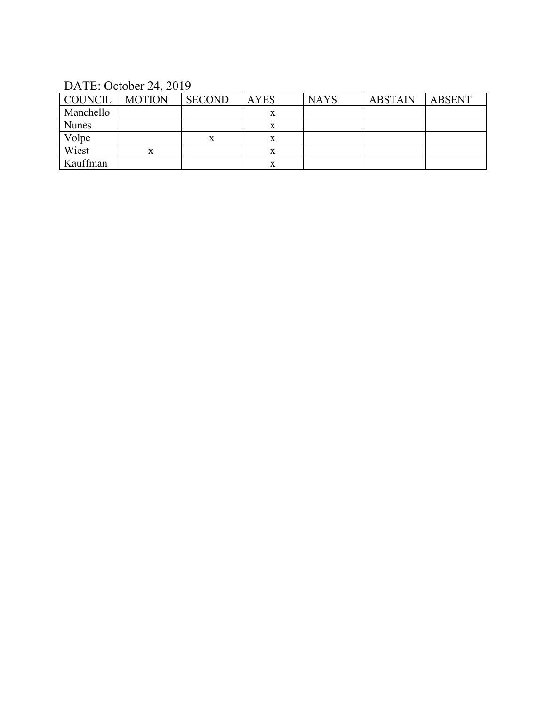DATE: October 24, 2019

| COUNCIL      | <b>MOTION</b> | <b>SECOND</b> | <b>AYES</b> | <b>NAYS</b> | <b>ABSTAIN</b> | <b>ABSENT</b> |
|--------------|---------------|---------------|-------------|-------------|----------------|---------------|
| Manchello    |               |               | x           |             |                |               |
| <b>Nunes</b> |               |               | л           |             |                |               |
| Volpe        |               | л             | л           |             |                |               |
| Wiest        | x             |               | △           |             |                |               |
| Kauffman     |               |               | л           |             |                |               |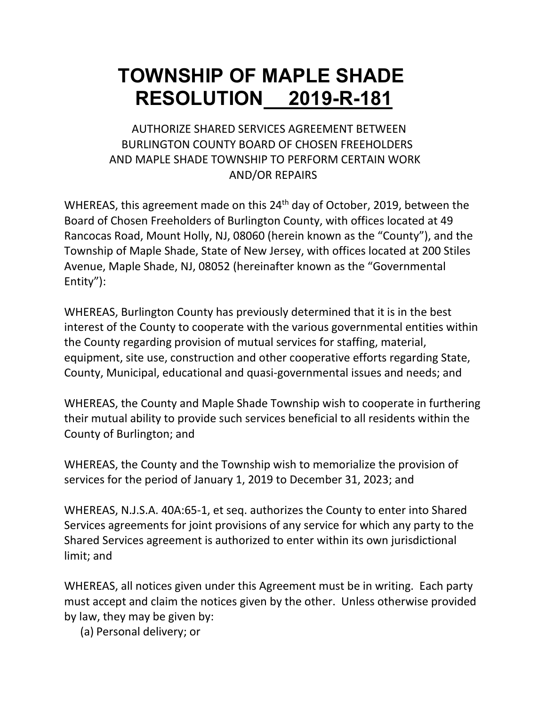## **TOWNSHIP OF MAPLE SHADE RESOLUTION 2019-R-181**

### AUTHORIZE SHARED SERVICES AGREEMENT BETWEEN BURLINGTON COUNTY BOARD OF CHOSEN FREEHOLDERS AND MAPLE SHADE TOWNSHIP TO PERFORM CERTAIN WORK AND/OR REPAIRS

WHEREAS, this agreement made on this 24<sup>th</sup> day of October, 2019, between the Board of Chosen Freeholders of Burlington County, with offices located at 49 Rancocas Road, Mount Holly, NJ, 08060 (herein known as the "County"), and the Township of Maple Shade, State of New Jersey, with offices located at 200 Stiles Avenue, Maple Shade, NJ, 08052 (hereinafter known as the "Governmental Entity"):

WHEREAS, Burlington County has previously determined that it is in the best interest of the County to cooperate with the various governmental entities within the County regarding provision of mutual services for staffing, material, equipment, site use, construction and other cooperative efforts regarding State, County, Municipal, educational and quasi-governmental issues and needs; and

WHEREAS, the County and Maple Shade Township wish to cooperate in furthering their mutual ability to provide such services beneficial to all residents within the County of Burlington; and

WHEREAS, the County and the Township wish to memorialize the provision of services for the period of January 1, 2019 to December 31, 2023; and

WHEREAS, N.J.S.A. 40A:65-1, et seq. authorizes the County to enter into Shared Services agreements for joint provisions of any service for which any party to the Shared Services agreement is authorized to enter within its own jurisdictional limit; and

WHEREAS, all notices given under this Agreement must be in writing. Each party must accept and claim the notices given by the other. Unless otherwise provided by law, they may be given by:

(a) Personal delivery; or